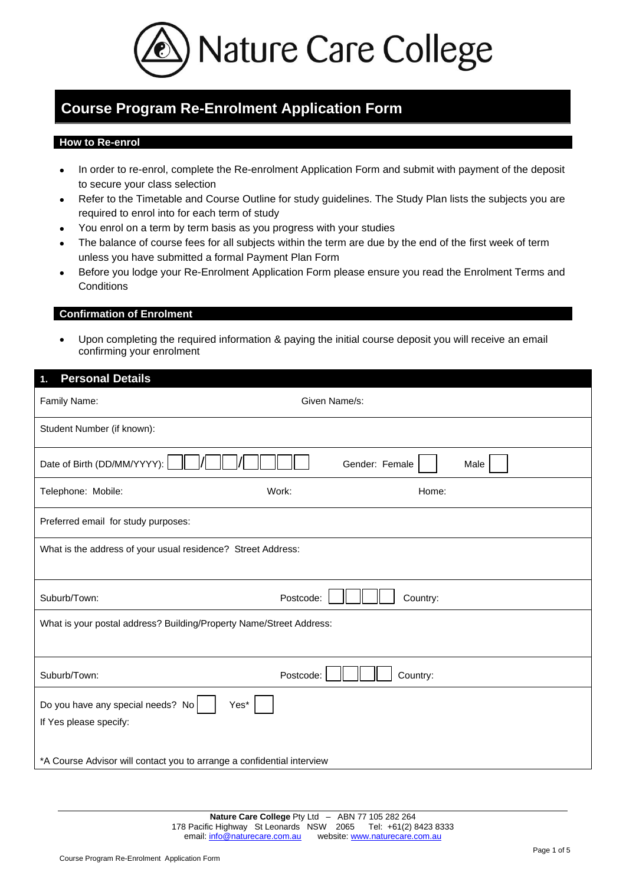

# **Course Program Re-Enrolment Application Form**

#### **How to Re-enrol**

- In order to re-enrol, complete the Re-enrolment Application Form and submit with payment of the deposit to secure your class selection
- Refer to the Timetable and Course Outline for study guidelines. The Study Plan lists the subjects you are required to enrol into for each term of study
- You enrol on a term by term basis as you progress with your studies
- The balance of course fees for all subjects within the term are due by the end of the first week of term unless you have submitted a formal Payment Plan Form
- Before you lodge your Re-Enrolment Application Form please ensure you read the Enrolment Terms and **Conditions**

#### **Confirmation of Enrolment**

• Upon completing the required information & paying the initial course deposit you will receive an email confirming your enrolment

## **1. Personal Details**

| Family Name:                                                           | Given Name/s:          |  |  |
|------------------------------------------------------------------------|------------------------|--|--|
| Student Number (if known):                                             |                        |  |  |
| Date of Birth (DD/MM/YYYY):                                            | Gender: Female<br>Male |  |  |
| Telephone: Mobile:                                                     | Work:<br>Home:         |  |  |
| Preferred email for study purposes:                                    |                        |  |  |
| What is the address of your usual residence? Street Address:           |                        |  |  |
| Suburb/Town:                                                           | Postcode:<br>Country:  |  |  |
| What is your postal address? Building/Property Name/Street Address:    |                        |  |  |
|                                                                        |                        |  |  |
| Suburb/Town:                                                           | Postcode:<br>Country:  |  |  |
| Do you have any special needs? No<br>Yes*                              |                        |  |  |
| If Yes please specify:                                                 |                        |  |  |
|                                                                        |                        |  |  |
| *A Course Advisor will contact you to arrange a confidential interview |                        |  |  |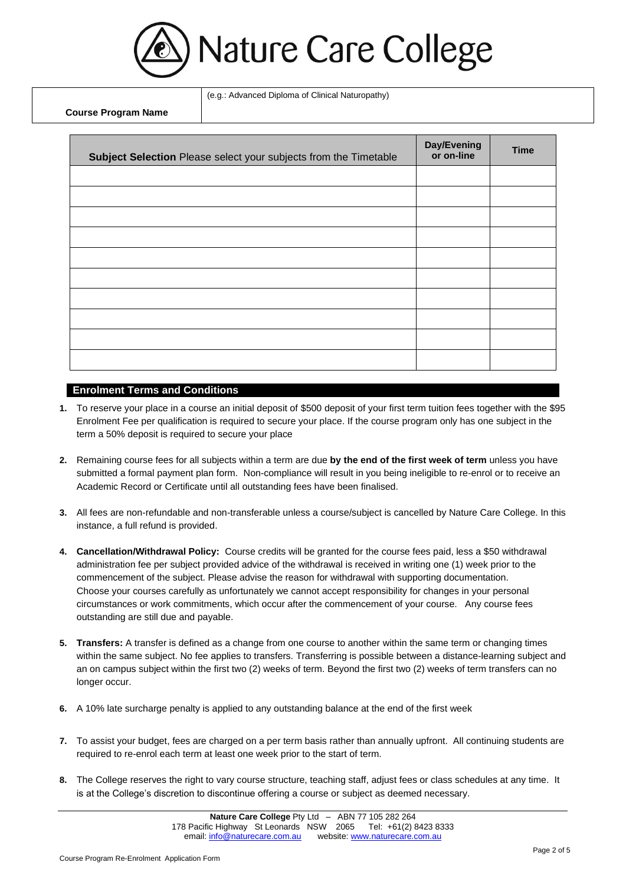

(e.g.: Advanced Diploma of Clinical Naturopathy)

**Course Program Name** 

| Subject Selection Please select your subjects from the Timetable | Day/Evening<br>or on-line | <b>Time</b> |
|------------------------------------------------------------------|---------------------------|-------------|
|                                                                  |                           |             |
|                                                                  |                           |             |
|                                                                  |                           |             |
|                                                                  |                           |             |
|                                                                  |                           |             |
|                                                                  |                           |             |
|                                                                  |                           |             |
|                                                                  |                           |             |
|                                                                  |                           |             |
|                                                                  |                           |             |

#### **Enrolment Terms and Conditions**

- **1.** To reserve your place in a course an initial deposit of \$500 deposit of your first term tuition fees together with the \$95 Enrolment Fee per qualification is required to secure your place. If the course program only has one subject in the term a 50% deposit is required to secure your place
- **2.** Remaining course fees for all subjects within a term are due **by the end of the first week of term** unless you have submitted a formal payment plan form. Non-compliance will result in you being ineligible to re-enrol or to receive an Academic Record or Certificate until all outstanding fees have been finalised.
- **3.** All fees are non-refundable and non-transferable unless a course/subject is cancelled by Nature Care College. In this instance, a full refund is provided.
- **4. Cancellation/Withdrawal Policy:** Course credits will be granted for the course fees paid, less a \$50 withdrawal administration fee per subject provided advice of the withdrawal is received in writing one (1) week prior to the commencement of the subject. Please advise the reason for withdrawal with supporting documentation. Choose your courses carefully as unfortunately we cannot accept responsibility for changes in your personal circumstances or work commitments, which occur after the commencement of your course. Any course fees outstanding are still due and payable.
- **5. Transfers:** A transfer is defined as a change from one course to another within the same term or changing times within the same subject. No fee applies to transfers. Transferring is possible between a distance-learning subject and an on campus subject within the first two (2) weeks of term. Beyond the first two (2) weeks of term transfers can no longer occur.
- **6.** A 10% late surcharge penalty is applied to any outstanding balance at the end of the first week
- **7.** To assist your budget, fees are charged on a per term basis rather than annually upfront. All continuing students are required to re-enrol each term at least one week prior to the start of term.
- **8.** The College reserves the right to vary course structure, teaching staff, adjust fees or class schedules at any time. It is at the College's discretion to discontinue offering a course or subject as deemed necessary.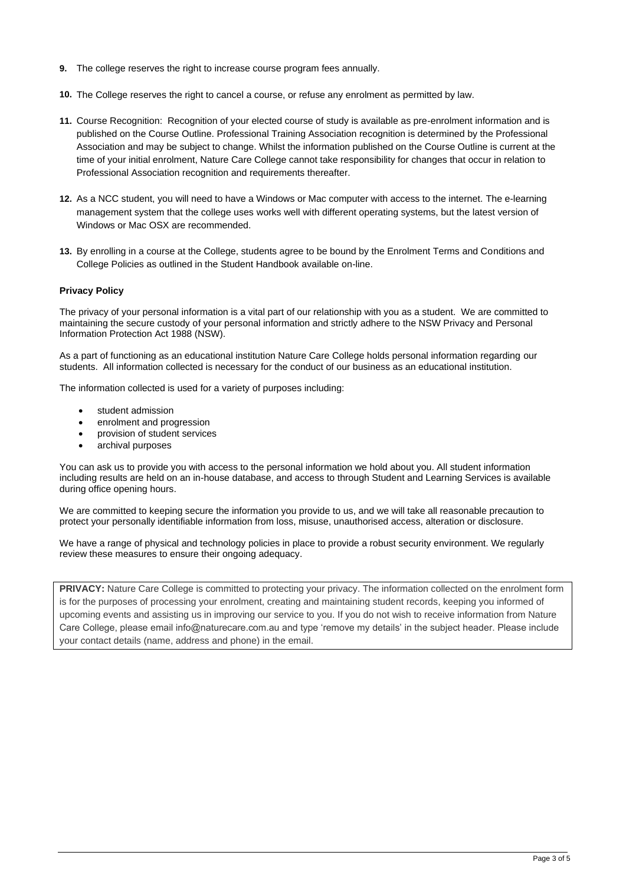- **9.** The college reserves the right to increase course program fees annually.
- **10.** The College reserves the right to cancel a course, or refuse any enrolment as permitted by law.
- **11.** Course Recognition: Recognition of your elected course of study is available as pre-enrolment information and is published on the Course Outline. Professional Training Association recognition is determined by the Professional Association and may be subject to change. Whilst the information published on the Course Outline is current at the time of your initial enrolment, Nature Care College cannot take responsibility for changes that occur in relation to Professional Association recognition and requirements thereafter.
- **12.** As a NCC student, you will need to have a Windows or Mac computer with access to the internet. The e-learning management system that the college uses works well with different operating systems, but the latest version of Windows or Mac OSX are recommended.
- **13.** By enrolling in a course at the College, students agree to be bound by the Enrolment Terms and Conditions and College Policies as outlined in the Student Handbook available on-line.

#### **Privacy Policy**

The privacy of your personal information is a vital part of our relationship with you as a student. We are committed to maintaining the secure custody of your personal information and strictly adhere to the NSW Privacy and Personal Information Protection Act 1988 (NSW).

As a part of functioning as an educational institution Nature Care College holds personal information regarding our students. All information collected is necessary for the conduct of our business as an educational institution.

The information collected is used for a variety of purposes including:

- student admission
- enrolment and progression
- provision of student services
- archival purposes

You can ask us to provide you with access to the personal information we hold about you. All student information including results are held on an in-house database, and access to through Student and Learning Services is available during office opening hours.

We are committed to keeping secure the information you provide to us, and we will take all reasonable precaution to protect your personally identifiable information from loss, misuse, unauthorised access, alteration or disclosure.

We have a range of physical and technology policies in place to provide a robust security environment. We regularly review these measures to ensure their ongoing adequacy.

**PRIVACY:** Nature Care College is committed to protecting your privacy. The information collected on the enrolment form is for the purposes of processing your enrolment, creating and maintaining student records, keeping you informed of upcoming events and assisting us in improving our service to you. If you do not wish to receive information from Nature Care College, please email info@naturecare.com.au and type 'remove my details' in the subject header. Please include your contact details (name, address and phone) in the email.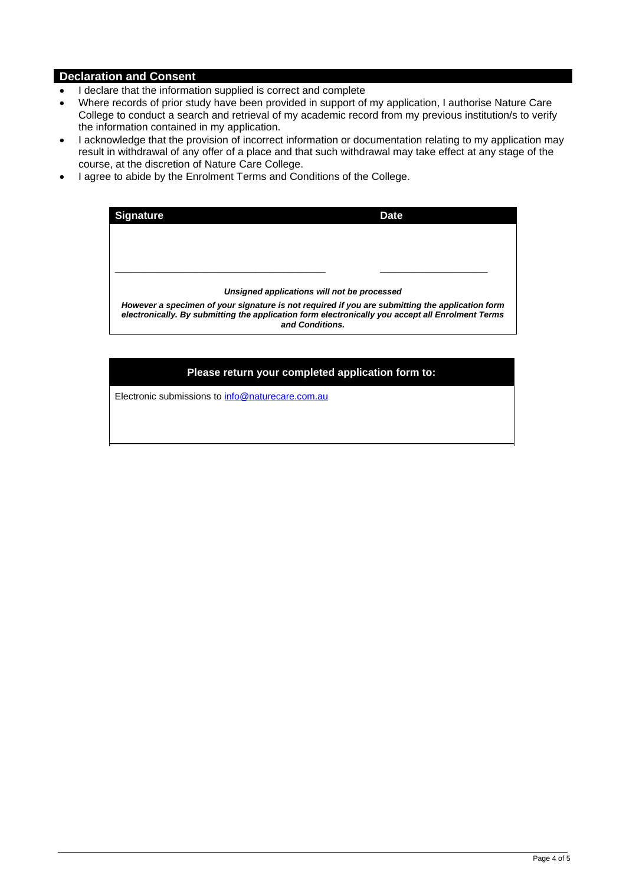## **Declaration and Consent**

- I declare that the information supplied is correct and complete
- Where records of prior study have been provided in support of my application, I authorise Nature Care College to conduct a search and retrieval of my academic record from my previous institution/s to verify the information contained in my application.
- I acknowledge that the provision of incorrect information or documentation relating to my application may result in withdrawal of any offer of a place and that such withdrawal may take effect at any stage of the course, at the discretion of Nature Care College.
- I agree to abide by the Enrolment Terms and Conditions of the College.

| <b>Signature</b>                                                                                                                                                                                                       | <b>Date</b> |  |
|------------------------------------------------------------------------------------------------------------------------------------------------------------------------------------------------------------------------|-------------|--|
|                                                                                                                                                                                                                        |             |  |
|                                                                                                                                                                                                                        |             |  |
|                                                                                                                                                                                                                        |             |  |
| Unsigned applications will not be processed                                                                                                                                                                            |             |  |
| However a specimen of your signature is not required if you are submitting the application form<br>electronically. By submitting the application form electronically you accept all Enrolment Terms<br>and Conditions. |             |  |

### **Please return your completed application form to:**

Electronic submissions to info@naturecare.com.au